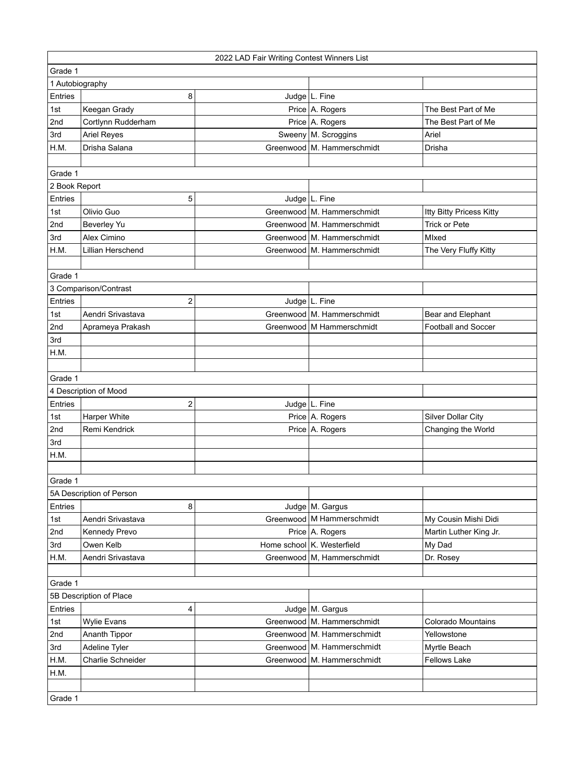|                 |                          | 2022 LAD Fair Writing Contest Winners List |                              |                            |
|-----------------|--------------------------|--------------------------------------------|------------------------------|----------------------------|
| Grade 1         |                          |                                            |                              |                            |
| 1 Autobiography |                          |                                            |                              |                            |
| Entries         | 8                        |                                            | Judge   L. Fine              |                            |
| 1st             | Keegan Grady             |                                            | Price A. Rogers              | The Best Part of Me        |
| 2nd             | Cortlynn Rudderham       |                                            | Price A. Rogers              | The Best Part of Me        |
| 3rd             | <b>Ariel Reyes</b>       |                                            | Sweeny   M. Scroggins        | Ariel                      |
| H.M.            | Drisha Salana            |                                            | Greenwood M. Hammerschmidt   | Drisha                     |
|                 |                          |                                            |                              |                            |
| Grade 1         |                          |                                            |                              |                            |
| 2 Book Report   |                          |                                            |                              |                            |
| Entries         | 5                        |                                            | Judge L. Fine                |                            |
| 1st             | Olivio Guo               |                                            | Greenwood   M. Hammerschmidt | Itty Bitty Pricess Kitty   |
| 2nd             | Beverley Yu              |                                            | Greenwood   M. Hammerschmidt | <b>Trick or Pete</b>       |
| 3rd             | Alex Cimino              |                                            | Greenwood   M. Hammerschmidt | Mlxed                      |
| H.M.            | Lillian Herschend        |                                            | Greenwood   M. Hammerschmidt | The Very Fluffy Kitty      |
|                 |                          |                                            |                              |                            |
| Grade 1         |                          |                                            |                              |                            |
|                 | 3 Comparison/Contrast    |                                            |                              |                            |
| Entries         | 2                        |                                            | Judge L. Fine                |                            |
| 1st             | Aendri Srivastava        |                                            | Greenwood M. Hammerschmidt   | Bear and Elephant          |
| 2nd             | Aprameya Prakash         |                                            | Greenwood   M Hammerschmidt  | <b>Football and Soccer</b> |
| 3rd             |                          |                                            |                              |                            |
| H.M.            |                          |                                            |                              |                            |
|                 |                          |                                            |                              |                            |
| Grade 1         |                          |                                            |                              |                            |
|                 | 4 Description of Mood    |                                            |                              |                            |
| Entries         | 2                        |                                            | Judge L. Fine                |                            |
| 1st             | Harper White             |                                            | Price A. Rogers              | Silver Dollar City         |
| 2nd             | Remi Kendrick            |                                            | Price A. Rogers              | Changing the World         |
| 3rd             |                          |                                            |                              |                            |
| H.M.            |                          |                                            |                              |                            |
|                 |                          |                                            |                              |                            |
| Grade 1         |                          |                                            |                              |                            |
|                 | 5A Description of Person |                                            |                              |                            |
| Entries         | 8                        |                                            | Judge   M. Gargus            |                            |
| 1st             | Aendri Srivastava        |                                            | Greenwood   M Hammerschmidt  | My Cousin Mishi Didi       |
| 2nd             | Kennedy Prevo            |                                            | Price A. Rogers              | Martin Luther King Jr.     |
| 3rd             | Owen Kelb                |                                            | Home school K. Westerfield   | My Dad                     |
| H.M.            | Aendri Srivastava        |                                            | Greenwood   M, Hammerschmidt | Dr. Rosey                  |
|                 |                          |                                            |                              |                            |
| Grade 1         |                          |                                            |                              |                            |
|                 | 5B Description of Place  |                                            |                              |                            |
| Entries         | 4                        |                                            | Judge   M. Gargus            |                            |
| 1st             | <b>Wylie Evans</b>       |                                            | Greenwood   M. Hammerschmidt | <b>Colorado Mountains</b>  |
| 2nd             | Ananth Tippor            |                                            | Greenwood   M. Hammerschmidt | Yellowstone                |
| 3rd             | Adeline Tyler            |                                            | Greenwood   M. Hammerschmidt | Myrtle Beach               |
| H.M.            | Charlie Schneider        |                                            | Greenwood   M. Hammerschmidt | <b>Fellows Lake</b>        |
| H.M.            |                          |                                            |                              |                            |
|                 |                          |                                            |                              |                            |
| Grade 1         |                          |                                            |                              |                            |
|                 |                          |                                            |                              |                            |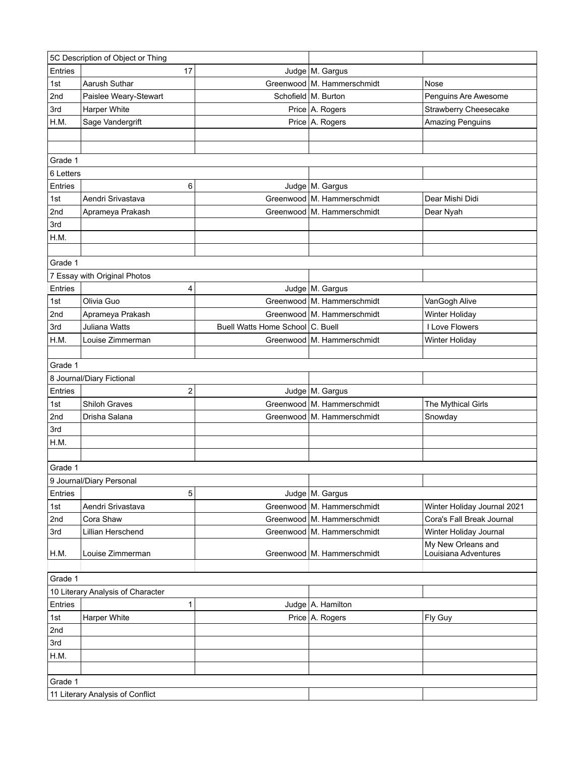|           | 5C Description of Object or Thing |                                  |                              |                             |
|-----------|-----------------------------------|----------------------------------|------------------------------|-----------------------------|
| Entries   | 17                                |                                  | Judge   M. Gargus            |                             |
| 1st       | Aarush Suthar                     |                                  | Greenwood M. Hammerschmidt   | Nose                        |
| 2nd       | Paislee Weary-Stewart             |                                  | Schofield   M. Burton        | Penguins Are Awesome        |
| 3rd       | Harper White                      |                                  | Price A. Rogers              | Strawberry Cheesecake       |
| H.M.      | Sage Vandergrift                  |                                  | Price A. Rogers              | <b>Amazing Penguins</b>     |
|           |                                   |                                  |                              |                             |
|           |                                   |                                  |                              |                             |
| Grade 1   |                                   |                                  |                              |                             |
| 6 Letters |                                   |                                  |                              |                             |
| Entries   | 6                                 |                                  | Judge   M. Gargus            |                             |
| 1st       | Aendri Srivastava                 |                                  | Greenwood   M. Hammerschmidt | Dear Mishi Didi             |
| 2nd       | Aprameya Prakash                  |                                  | Greenwood   M. Hammerschmidt | Dear Nyah                   |
| 3rd       |                                   |                                  |                              |                             |
| H.M.      |                                   |                                  |                              |                             |
|           |                                   |                                  |                              |                             |
| Grade 1   |                                   |                                  |                              |                             |
|           | 7 Essay with Original Photos      |                                  |                              |                             |
| Entries   | 4                                 |                                  | Judge M. Gargus              |                             |
| 1st       | Olivia Guo                        |                                  | Greenwood M. Hammerschmidt   | VanGogh Alive               |
| 2nd       | Aprameya Prakash                  |                                  | Greenwood   M. Hammerschmidt | Winter Holiday              |
| 3rd       | Juliana Watts                     | Buell Watts Home School C. Buell |                              | I Love Flowers              |
| H.M.      | Louise Zimmerman                  |                                  | Greenwood   M. Hammerschmidt | Winter Holiday              |
|           |                                   |                                  |                              |                             |
| Grade 1   |                                   |                                  |                              |                             |
|           | 8 Journal/Diary Fictional         |                                  |                              |                             |
| Entries   | 2                                 |                                  | Judge M. Gargus              |                             |
| 1st       | Shiloh Graves                     |                                  | Greenwood M. Hammerschmidt   | The Mythical Girls          |
| 2nd       | Drisha Salana                     |                                  | Greenwood   M. Hammerschmidt | Snowday                     |
| 3rd       |                                   |                                  |                              |                             |
| H.M.      |                                   |                                  |                              |                             |
|           |                                   |                                  |                              |                             |
| Grade 1   |                                   |                                  |                              |                             |
|           | 9 Journal/Diary Personal          |                                  |                              |                             |
| Entries   | 5                                 |                                  | Judge M. Gargus              |                             |
| 1st       | Aendri Srivastava                 |                                  | Greenwood M. Hammerschmidt   | Winter Holiday Journal 2021 |
| 2nd       | Cora Shaw                         |                                  | Greenwood   M. Hammerschmidt | Cora's Fall Break Journal   |
| 3rd       | Lillian Herschend                 |                                  | Greenwood M. Hammerschmidt   | Winter Holiday Journal      |
|           |                                   |                                  |                              | My New Orleans and          |
| H.M.      | Louise Zimmerman                  |                                  | Greenwood   M. Hammerschmidt | Louisiana Adventures        |
|           |                                   |                                  |                              |                             |
| Grade 1   |                                   |                                  |                              |                             |
|           | 10 Literary Analysis of Character |                                  |                              |                             |
| Entries   | 1                                 |                                  | Judge   A. Hamilton          |                             |
| 1st       | Harper White                      |                                  | Price A. Rogers              | Fly Guy                     |
| 2nd       |                                   |                                  |                              |                             |
| 3rd       |                                   |                                  |                              |                             |
| H.M.      |                                   |                                  |                              |                             |
|           |                                   |                                  |                              |                             |
| Grade 1   |                                   |                                  |                              |                             |
|           | 11 Literary Analysis of Conflict  |                                  |                              |                             |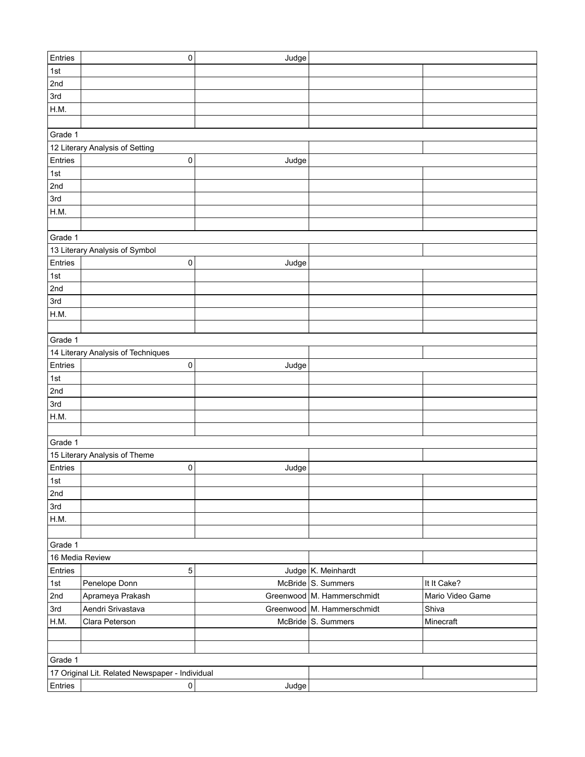| Entries         | 0                                               | Judge |                              |                  |
|-----------------|-------------------------------------------------|-------|------------------------------|------------------|
| 1st             |                                                 |       |                              |                  |
| 2nd             |                                                 |       |                              |                  |
| 3rd             |                                                 |       |                              |                  |
| H.M.            |                                                 |       |                              |                  |
|                 |                                                 |       |                              |                  |
| Grade 1         |                                                 |       |                              |                  |
|                 | 12 Literary Analysis of Setting                 |       |                              |                  |
| Entries         | 0                                               | Judge |                              |                  |
| 1st             |                                                 |       |                              |                  |
| 2nd             |                                                 |       |                              |                  |
| 3rd             |                                                 |       |                              |                  |
| H.M.            |                                                 |       |                              |                  |
|                 |                                                 |       |                              |                  |
| Grade 1         |                                                 |       |                              |                  |
|                 | 13 Literary Analysis of Symbol                  |       |                              |                  |
| Entries         | 0                                               | Judge |                              |                  |
| 1st             |                                                 |       |                              |                  |
| 2nd             |                                                 |       |                              |                  |
| 3rd             |                                                 |       |                              |                  |
| H.M.            |                                                 |       |                              |                  |
|                 |                                                 |       |                              |                  |
| Grade 1         |                                                 |       |                              |                  |
|                 | 14 Literary Analysis of Techniques              |       |                              |                  |
| Entries         | 0                                               | Judge |                              |                  |
| 1st             |                                                 |       |                              |                  |
| 2nd             |                                                 |       |                              |                  |
| 3rd             |                                                 |       |                              |                  |
| H.M.            |                                                 |       |                              |                  |
|                 |                                                 |       |                              |                  |
| Grade 1         |                                                 |       |                              |                  |
|                 | 15 Literary Analysis of Theme                   |       |                              |                  |
| Entries         | 0                                               | Judge |                              |                  |
| 1st             |                                                 |       |                              |                  |
| 2nd             |                                                 |       |                              |                  |
| 3rd             |                                                 |       |                              |                  |
| H.M.            |                                                 |       |                              |                  |
|                 |                                                 |       |                              |                  |
| Grade 1         |                                                 |       |                              |                  |
| 16 Media Review |                                                 |       |                              |                  |
| Entries         | 5                                               |       | Judge K. Meinhardt           |                  |
| 1st             | Penelope Donn                                   |       | McBride S. Summers           | It It Cake?      |
| 2nd             | Aprameya Prakash                                |       | Greenwood   M. Hammerschmidt | Mario Video Game |
| 3rd             | Aendri Srivastava                               |       | Greenwood   M. Hammerschmidt | Shiva            |
| H.M.            | Clara Peterson                                  |       | McBride S. Summers           | Minecraft        |
|                 |                                                 |       |                              |                  |
|                 |                                                 |       |                              |                  |
| Grade 1         |                                                 |       |                              |                  |
|                 | 17 Original Lit. Related Newspaper - Individual |       |                              |                  |
| Entries         | $\pmb{0}$                                       | Judge |                              |                  |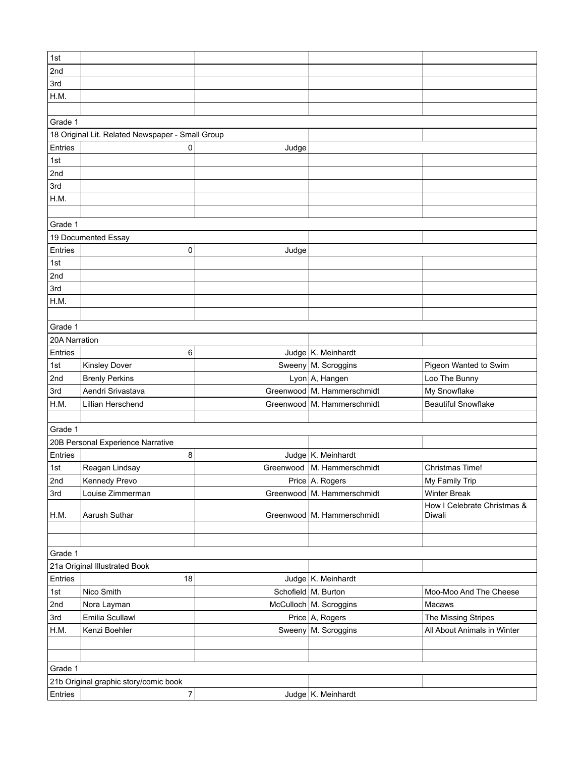| 1st           |                                                  |       |                              |                             |
|---------------|--------------------------------------------------|-------|------------------------------|-----------------------------|
| 2nd           |                                                  |       |                              |                             |
| 3rd           |                                                  |       |                              |                             |
| H.M.          |                                                  |       |                              |                             |
|               |                                                  |       |                              |                             |
| Grade 1       |                                                  |       |                              |                             |
|               | 18 Original Lit. Related Newspaper - Small Group |       |                              |                             |
| Entries       | 0                                                | Judge |                              |                             |
| 1st           |                                                  |       |                              |                             |
| 2nd           |                                                  |       |                              |                             |
| 3rd           |                                                  |       |                              |                             |
| H.M.          |                                                  |       |                              |                             |
|               |                                                  |       |                              |                             |
|               |                                                  |       |                              |                             |
| Grade 1       |                                                  |       |                              |                             |
|               | 19 Documented Essay                              |       |                              |                             |
| Entries       | 0                                                | Judge |                              |                             |
| 1st           |                                                  |       |                              |                             |
| 2nd           |                                                  |       |                              |                             |
| 3rd           |                                                  |       |                              |                             |
| H.M.          |                                                  |       |                              |                             |
|               |                                                  |       |                              |                             |
| Grade 1       |                                                  |       |                              |                             |
| 20A Narration |                                                  |       |                              |                             |
| Entries       | 6                                                |       | Judge K. Meinhardt           |                             |
| 1st           | <b>Kinsley Dover</b>                             |       | Sweeny   M. Scroggins        | Pigeon Wanted to Swim       |
| 2nd           | <b>Brenly Perkins</b>                            |       | Lyon A, Hangen               | Loo The Bunny               |
| 3rd           | Aendri Srivastava                                |       | Greenwood   M. Hammerschmidt | My Snowflake                |
| H.M.          | Lillian Herschend                                |       | Greenwood   M. Hammerschmidt | <b>Beautiful Snowflake</b>  |
|               |                                                  |       |                              |                             |
| Grade 1       |                                                  |       |                              |                             |
|               | 20B Personal Experience Narrative                |       |                              |                             |
| Entries       | 8                                                |       | Judge K. Meinhardt           |                             |
| 1st           | Reagan Lindsay                                   |       | Greenwood   M. Hammerschmidt | <b>Christmas Time!</b>      |
| 2nd           | Kennedy Prevo                                    |       | Price A. Rogers              | My Family Trip              |
| 3rd           | Louise Zimmerman                                 |       | Greenwood   M. Hammerschmidt | <b>Winter Break</b>         |
|               |                                                  |       |                              | How I Celebrate Christmas & |
| H.M.          | Aarush Suthar                                    |       | Greenwood   M. Hammerschmidt | Diwali                      |
|               |                                                  |       |                              |                             |
|               |                                                  |       |                              |                             |
| Grade 1       |                                                  |       |                              |                             |
|               | 21a Original Illustrated Book                    |       |                              |                             |
| Entries       | 18                                               |       | Judge   K. Meinhardt         |                             |
| 1st           | Nico Smith                                       |       | Schofield   M. Burton        | Moo-Moo And The Cheese      |
| 2nd           | Nora Layman                                      |       | McCulloch   M. Scroggins     | Macaws                      |
| 3rd           | Emilia Scullawl                                  |       | Price A, Rogers              | The Missing Stripes         |
| H.M.          | Kenzi Boehler                                    |       | Sweeny   M. Scroggins        | All About Animals in Winter |
|               |                                                  |       |                              |                             |
|               |                                                  |       |                              |                             |
| Grade 1       |                                                  |       |                              |                             |
|               | 21b Original graphic story/comic book            |       |                              |                             |
|               |                                                  |       |                              |                             |
| Entries       | 7                                                |       | Judge   K. Meinhardt         |                             |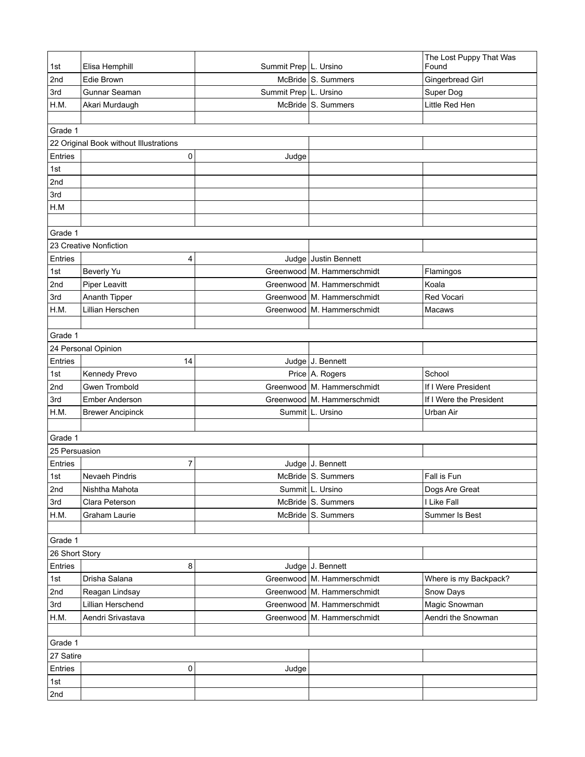| 1st            | Elisa Hemphill                              | Summit Prep   L. Ursino |                              | The Lost Puppy That Was<br>Found |
|----------------|---------------------------------------------|-------------------------|------------------------------|----------------------------------|
|                | Edie Brown                                  |                         | McBride S. Summers           | <b>Gingerbread Girl</b>          |
| 2nd<br>3rd     | Gunnar Seaman                               | Summit Prep   L. Ursino |                              | Super Dog                        |
| H.M.           |                                             |                         | McBride S. Summers           | Little Red Hen                   |
|                | Akari Murdaugh                              |                         |                              |                                  |
|                |                                             |                         |                              |                                  |
| Grade 1        |                                             |                         |                              |                                  |
| Entries        | 22 Original Book without Illustrations<br>0 |                         |                              |                                  |
| 1st            |                                             | Judge                   |                              |                                  |
| 2nd            |                                             |                         |                              |                                  |
| 3rd            |                                             |                         |                              |                                  |
| H.M            |                                             |                         |                              |                                  |
|                |                                             |                         |                              |                                  |
| Grade 1        |                                             |                         |                              |                                  |
|                | 23 Creative Nonfiction                      |                         |                              |                                  |
| Entries        | 4                                           |                         | Judge Justin Bennett         |                                  |
| 1st            | <b>Beverly Yu</b>                           |                         | Greenwood   M. Hammerschmidt | Flamingos                        |
| 2nd            | <b>Piper Leavitt</b>                        |                         | Greenwood   M. Hammerschmidt | Koala                            |
| 3rd            | Ananth Tipper                               |                         | Greenwood M. Hammerschmidt   | Red Vocari                       |
| H.M.           | Lillian Herschen                            |                         | Greenwood   M. Hammerschmidt | Macaws                           |
|                |                                             |                         |                              |                                  |
| Grade 1        |                                             |                         |                              |                                  |
|                | 24 Personal Opinion                         |                         |                              |                                  |
| Entries        | 14                                          |                         | Judge J. Bennett             |                                  |
| 1st            | Kennedy Prevo                               |                         | Price A. Rogers              | School                           |
| 2nd            | Gwen Trombold                               |                         | Greenwood M. Hammerschmidt   | If I Were President              |
| 3rd            | Ember Anderson                              |                         | Greenwood   M. Hammerschmidt | If I Were the President          |
| H.M.           | <b>Brewer Ancipinck</b>                     |                         | Summit L. Ursino             | Urban Air                        |
|                |                                             |                         |                              |                                  |
| Grade 1        |                                             |                         |                              |                                  |
| 25 Persuasion  |                                             |                         |                              |                                  |
| Entries        | $\overline{7}$                              |                         | Judge J. Bennett             |                                  |
| ∣1st           | Nevaeh Pindris                              |                         | McBride S. Summers           | Fall is Fun                      |
| 2nd            | Nishtha Mahota                              |                         | Summit L. Ursino             | Dogs Are Great                   |
| 3rd            | Clara Peterson                              |                         | McBride S. Summers           | I Like Fall                      |
| H.M.           | Graham Laurie                               |                         | McBride S. Summers           | Summer Is Best                   |
|                |                                             |                         |                              |                                  |
| Grade 1        |                                             |                         |                              |                                  |
| 26 Short Story |                                             |                         |                              |                                  |
| Entries        | 8                                           |                         | Judge J. Bennett             |                                  |
| 1st            | Drisha Salana                               |                         | Greenwood   M. Hammerschmidt | Where is my Backpack?            |
| 2nd            | Reagan Lindsay                              |                         | Greenwood   M. Hammerschmidt | Snow Days                        |
| 3rd            | Lillian Herschend                           |                         | Greenwood   M. Hammerschmidt | Magic Snowman                    |
| H.M.           | Aendri Srivastava                           |                         | Greenwood   M. Hammerschmidt | Aendri the Snowman               |
|                |                                             |                         |                              |                                  |
| Grade 1        |                                             |                         |                              |                                  |
| 27 Satire      |                                             |                         |                              |                                  |
| Entries        | 0                                           | Judge                   |                              |                                  |
| 1st            |                                             |                         |                              |                                  |
| 2nd            |                                             |                         |                              |                                  |
|                |                                             |                         |                              |                                  |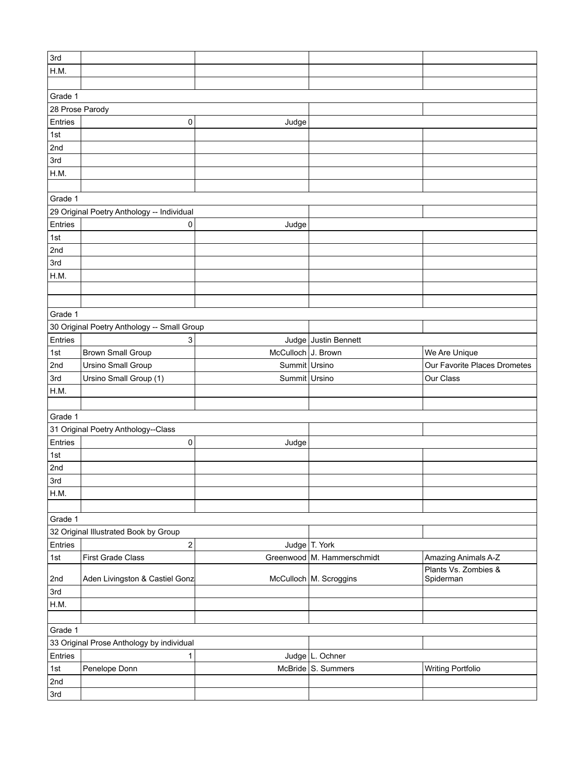| 3rd             |                                             |                    |                            |                                   |
|-----------------|---------------------------------------------|--------------------|----------------------------|-----------------------------------|
| H.M.            |                                             |                    |                            |                                   |
|                 |                                             |                    |                            |                                   |
|                 |                                             |                    |                            |                                   |
| Grade 1         |                                             |                    |                            |                                   |
| 28 Prose Parody |                                             |                    |                            |                                   |
| Entries         | 0                                           | Judge              |                            |                                   |
| 1st             |                                             |                    |                            |                                   |
| 2nd             |                                             |                    |                            |                                   |
| 3rd             |                                             |                    |                            |                                   |
| H.M.            |                                             |                    |                            |                                   |
|                 |                                             |                    |                            |                                   |
| Grade 1         |                                             |                    |                            |                                   |
|                 | 29 Original Poetry Anthology -- Individual  |                    |                            |                                   |
| Entries         | 0                                           |                    |                            |                                   |
|                 |                                             | Judge              |                            |                                   |
| 1st             |                                             |                    |                            |                                   |
| 2nd             |                                             |                    |                            |                                   |
| 3rd             |                                             |                    |                            |                                   |
| H.M.            |                                             |                    |                            |                                   |
|                 |                                             |                    |                            |                                   |
|                 |                                             |                    |                            |                                   |
| Grade 1         |                                             |                    |                            |                                   |
|                 | 30 Original Poetry Anthology -- Small Group |                    |                            |                                   |
| Entries         | 3                                           |                    | Judge Justin Bennett       |                                   |
| 1st             | <b>Brown Small Group</b>                    | McCulloch J. Brown |                            | We Are Unique                     |
| 2nd             | <b>Ursino Small Group</b>                   | Summit Ursino      |                            | Our Favorite Places Drometes      |
|                 |                                             |                    |                            |                                   |
| 3rd             | Ursino Small Group (1)                      | Summit Ursino      |                            | Our Class                         |
| H.M.            |                                             |                    |                            |                                   |
|                 |                                             |                    |                            |                                   |
| Grade 1         |                                             |                    |                            |                                   |
|                 | 31 Original Poetry Anthology--Class         |                    |                            |                                   |
| Entries         | 0                                           | Judge              |                            |                                   |
| 1st             |                                             |                    |                            |                                   |
| 2nd             |                                             |                    |                            |                                   |
| 3rd             |                                             |                    |                            |                                   |
| H.M.            |                                             |                    |                            |                                   |
|                 |                                             |                    |                            |                                   |
| Grade 1         |                                             |                    |                            |                                   |
|                 | 32 Original Illustrated Book by Group       |                    |                            |                                   |
| Entries         | $\overline{\mathbf{c}}$                     |                    | Judge T. York              |                                   |
|                 |                                             |                    |                            |                                   |
| 1st             | First Grade Class                           |                    | Greenwood M. Hammerschmidt | Amazing Animals A-Z               |
| 2nd             | Aden Livingston & Castiel Gonz              |                    | McCulloch   M. Scroggins   | Plants Vs. Zombies &<br>Spiderman |
| 3rd             |                                             |                    |                            |                                   |
|                 |                                             |                    |                            |                                   |
| H.M.            |                                             |                    |                            |                                   |
|                 |                                             |                    |                            |                                   |
| Grade 1         |                                             |                    |                            |                                   |
|                 | 33 Original Prose Anthology by individual   |                    |                            |                                   |
| Entries         | 1                                           |                    | Judge L. Ochner            |                                   |
| 1st             | Penelope Donn                               |                    | McBride S. Summers         | <b>Writing Portfolio</b>          |
| 2nd             |                                             |                    |                            |                                   |
| 3rd             |                                             |                    |                            |                                   |
|                 |                                             |                    |                            |                                   |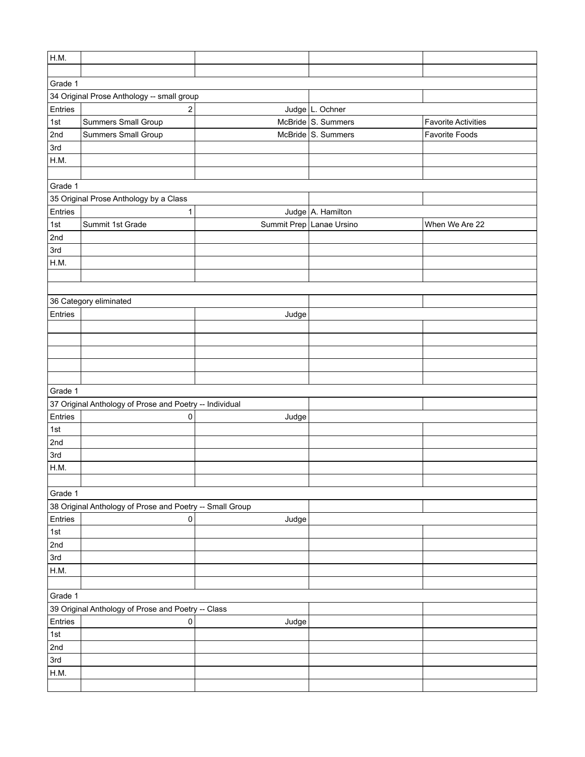| H.M.    |                                                          |       |                          |                            |
|---------|----------------------------------------------------------|-------|--------------------------|----------------------------|
|         |                                                          |       |                          |                            |
| Grade 1 |                                                          |       |                          |                            |
|         | 34 Original Prose Anthology -- small group               |       |                          |                            |
| Entries | $\mathbf 2$                                              |       | Judge L. Ochner          |                            |
| 1st     | Summers Small Group                                      |       | McBride S. Summers       | <b>Favorite Activities</b> |
| 2nd     | Summers Small Group                                      |       | McBride S. Summers       | Favorite Foods             |
| 3rd     |                                                          |       |                          |                            |
| H.M.    |                                                          |       |                          |                            |
|         |                                                          |       |                          |                            |
| Grade 1 |                                                          |       |                          |                            |
|         | 35 Original Prose Anthology by a Class                   |       |                          |                            |
| Entries | 1                                                        |       | Judge A. Hamilton        |                            |
| 1st     | Summit 1st Grade                                         |       | Summit Prep Lanae Ursino | When We Are 22             |
| 2nd     |                                                          |       |                          |                            |
| 3rd     |                                                          |       |                          |                            |
| H.M.    |                                                          |       |                          |                            |
|         |                                                          |       |                          |                            |
|         |                                                          |       |                          |                            |
|         | 36 Category eliminated                                   |       |                          |                            |
| Entries |                                                          | Judge |                          |                            |
|         |                                                          |       |                          |                            |
|         |                                                          |       |                          |                            |
|         |                                                          |       |                          |                            |
|         |                                                          |       |                          |                            |
|         |                                                          |       |                          |                            |
| Grade 1 |                                                          |       |                          |                            |
|         | 37 Original Anthology of Prose and Poetry -- Individual  |       |                          |                            |
| Entries | 0                                                        | Judge |                          |                            |
| 1st     |                                                          |       |                          |                            |
| 2nd     |                                                          |       |                          |                            |
| 3rd     |                                                          |       |                          |                            |
| H.M.    |                                                          |       |                          |                            |
|         |                                                          |       |                          |                            |
| Grade 1 |                                                          |       |                          |                            |
|         | 38 Original Anthology of Prose and Poetry -- Small Group |       |                          |                            |
| Entries | 0                                                        | Judge |                          |                            |
| $1st$   |                                                          |       |                          |                            |
| 2nd     |                                                          |       |                          |                            |
| 3rd     |                                                          |       |                          |                            |
| H.M.    |                                                          |       |                          |                            |
|         |                                                          |       |                          |                            |
| Grade 1 |                                                          |       |                          |                            |
|         | 39 Original Anthology of Prose and Poetry -- Class       |       |                          |                            |
| Entries | 0                                                        | Judge |                          |                            |
| 1st     |                                                          |       |                          |                            |
| 2nd     |                                                          |       |                          |                            |
| 3rd     |                                                          |       |                          |                            |
| H.M.    |                                                          |       |                          |                            |
|         |                                                          |       |                          |                            |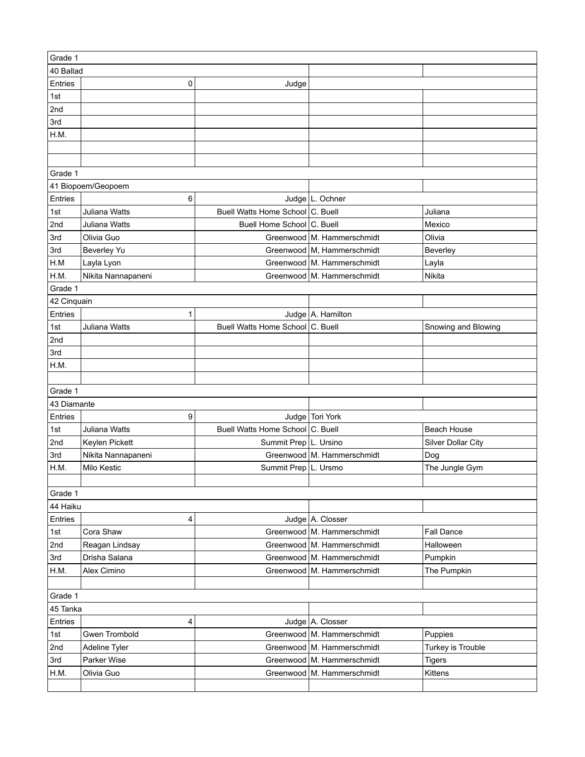| Grade 1     |                      |                                  |                              |                           |
|-------------|----------------------|----------------------------------|------------------------------|---------------------------|
| 40 Ballad   |                      |                                  |                              |                           |
| Entries     | 0                    | Judge                            |                              |                           |
| 1st         |                      |                                  |                              |                           |
| 2nd         |                      |                                  |                              |                           |
| 3rd         |                      |                                  |                              |                           |
| H.M.        |                      |                                  |                              |                           |
|             |                      |                                  |                              |                           |
|             |                      |                                  |                              |                           |
| Grade 1     |                      |                                  |                              |                           |
|             | 41 Biopoem/Geopoem   |                                  |                              |                           |
| Entries     | 6                    |                                  | Judge L. Ochner              |                           |
| 1st         | Juliana Watts        | Buell Watts Home School C. Buell |                              | Juliana                   |
| 2nd         | Juliana Watts        | Buell Home School C. Buell       |                              | Mexico                    |
| 3rd         | Olivia Guo           |                                  | Greenwood   M. Hammerschmidt | Olivia                    |
| 3rd         | Beverley Yu          |                                  | Greenwood M, Hammerschmidt   | Beverley                  |
| H.M         | Layla Lyon           |                                  | Greenwood   M. Hammerschmidt | Layla                     |
| H.M.        | Nikita Nannapaneni   |                                  | Greenwood   M. Hammerschmidt | Nikita                    |
| Grade 1     |                      |                                  |                              |                           |
| 42 Cinquain |                      |                                  |                              |                           |
| Entries     | 1                    |                                  | Judge A. Hamilton            |                           |
| 1st         | Juliana Watts        | Buell Watts Home School C. Buell |                              | Snowing and Blowing       |
| 2nd         |                      |                                  |                              |                           |
| 3rd         |                      |                                  |                              |                           |
| H.M.        |                      |                                  |                              |                           |
|             |                      |                                  |                              |                           |
| Grade 1     |                      |                                  |                              |                           |
| 43 Diamante |                      |                                  |                              |                           |
| Entries     | 9                    |                                  | Judge Tori York              |                           |
| 1st         | Juliana Watts        | Buell Watts Home School C. Buell |                              | <b>Beach House</b>        |
| 2nd         | Keylen Pickett       | Summit Prep   L. Ursino          |                              | <b>Silver Dollar City</b> |
| 3rd         | Nikita Nannapaneni   |                                  | Greenwood   M. Hammerschmidt | Dog                       |
| H.M.        | Milo Kestic          | Summit Prep L. Ursmo             |                              | The Jungle Gym            |
|             |                      |                                  |                              |                           |
| Grade 1     |                      |                                  |                              |                           |
| 44 Haiku    |                      |                                  |                              |                           |
| Entries     | 4                    |                                  | Judge A. Closser             |                           |
| 1st         | Cora Shaw            |                                  | Greenwood   M. Hammerschmidt | <b>Fall Dance</b>         |
| 2nd         | Reagan Lindsay       |                                  | Greenwood   M. Hammerschmidt | Halloween                 |
| 3rd         | Drisha Salana        |                                  | Greenwood   M. Hammerschmidt | Pumpkin                   |
| H.M.        | Alex Cimino          |                                  | Greenwood   M. Hammerschmidt | The Pumpkin               |
|             |                      |                                  |                              |                           |
| Grade 1     |                      |                                  |                              |                           |
| 45 Tanka    |                      |                                  |                              |                           |
| Entries     | 4                    |                                  | Judge A. Closser             |                           |
| 1st         | <b>Gwen Trombold</b> |                                  | Greenwood   M. Hammerschmidt | Puppies                   |
| 2nd         | Adeline Tyler        |                                  | Greenwood   M. Hammerschmidt | Turkey is Trouble         |
| 3rd         | Parker Wise          |                                  | Greenwood   M. Hammerschmidt | <b>Tigers</b>             |
| H.M.        | Olivia Guo           |                                  | Greenwood   M. Hammerschmidt | Kittens                   |
|             |                      |                                  |                              |                           |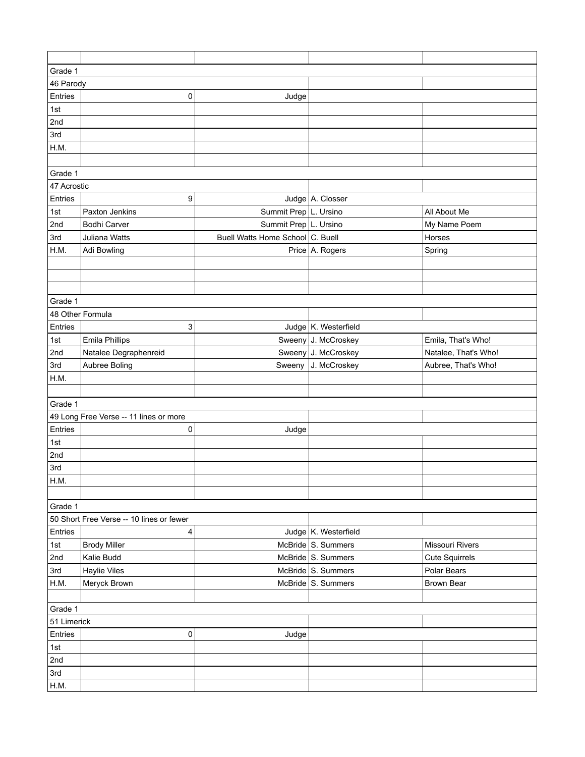| Grade 1          |                                          |                                  |                      |                       |
|------------------|------------------------------------------|----------------------------------|----------------------|-----------------------|
| 46 Parody        |                                          |                                  |                      |                       |
| Entries          | 0                                        | Judge                            |                      |                       |
| 1st              |                                          |                                  |                      |                       |
| 2nd              |                                          |                                  |                      |                       |
| 3rd              |                                          |                                  |                      |                       |
| H.M.             |                                          |                                  |                      |                       |
|                  |                                          |                                  |                      |                       |
| Grade 1          |                                          |                                  |                      |                       |
| 47 Acrostic      |                                          |                                  |                      |                       |
| Entries          | 9                                        |                                  | Judge A. Closser     |                       |
| 1st              | Paxton Jenkins                           | Summit Prep L. Ursino            |                      | All About Me          |
| 2nd              | <b>Bodhi Carver</b>                      | Summit Prep   L. Ursino          |                      | My Name Poem          |
| 3rd              | Juliana Watts                            | Buell Watts Home School C. Buell |                      | Horses                |
| H.M.             | Adi Bowling                              |                                  | Price A. Rogers      | Spring                |
|                  |                                          |                                  |                      |                       |
|                  |                                          |                                  |                      |                       |
|                  |                                          |                                  |                      |                       |
| Grade 1          |                                          |                                  |                      |                       |
| 48 Other Formula |                                          |                                  |                      |                       |
| Entries          | 3                                        |                                  | Judge K. Westerfield |                       |
| 1st              | <b>Emila Phillips</b>                    |                                  | Sweeny J. McCroskey  | Emila, That's Who!    |
| 2nd              | Natalee Degraphenreid                    |                                  | Sweeny J. McCroskey  | Natalee, That's Who!  |
| 3rd              | Aubree Boling                            | Sweeny                           | J. McCroskey         | Aubree, That's Who!   |
| H.M.             |                                          |                                  |                      |                       |
|                  |                                          |                                  |                      |                       |
| Grade 1          |                                          |                                  |                      |                       |
|                  | 49 Long Free Verse -- 11 lines or more   |                                  |                      |                       |
| Entries          | $\pmb{0}$                                | Judge                            |                      |                       |
| 1st              |                                          |                                  |                      |                       |
| 2nd              |                                          |                                  |                      |                       |
| 3rd              |                                          |                                  |                      |                       |
| H.M.             |                                          |                                  |                      |                       |
|                  |                                          |                                  |                      |                       |
| Grade 1          |                                          |                                  |                      |                       |
|                  | 50 Short Free Verse -- 10 lines or fewer |                                  |                      |                       |
| Entries          | 4                                        |                                  | Judge K. Westerfield |                       |
| 1st              | <b>Brody Miller</b>                      |                                  | McBride S. Summers   | Missouri Rivers       |
| 2nd              | Kalie Budd                               |                                  | McBride S. Summers   | <b>Cute Squirrels</b> |
| 3rd              | <b>Haylie Viles</b>                      |                                  | McBride S. Summers   | Polar Bears           |
| H.M.             | Meryck Brown                             |                                  | McBride S. Summers   | <b>Brown Bear</b>     |
|                  |                                          |                                  |                      |                       |
| Grade 1          |                                          |                                  |                      |                       |
| 51 Limerick      |                                          |                                  |                      |                       |
| Entries          | 0                                        | Judge                            |                      |                       |
| 1st              |                                          |                                  |                      |                       |
| 2nd              |                                          |                                  |                      |                       |
| 3rd              |                                          |                                  |                      |                       |
| H.M.             |                                          |                                  |                      |                       |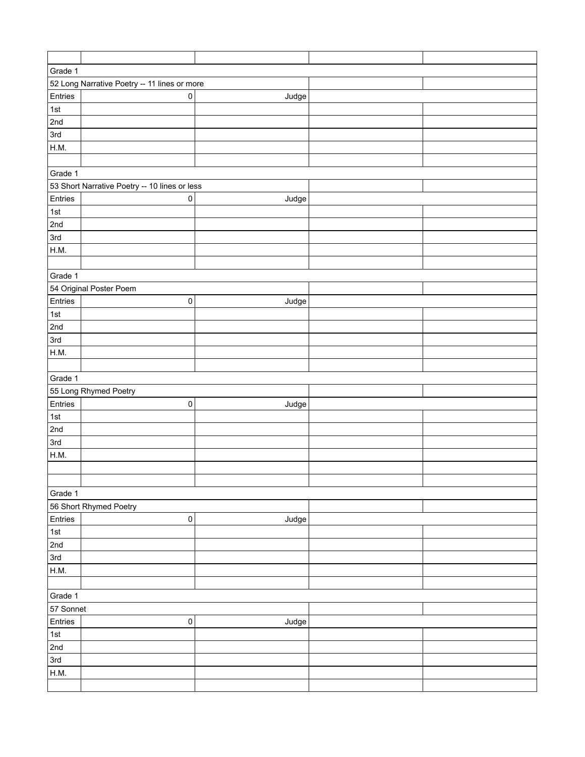| Grade 1     |                                               |       |  |
|-------------|-----------------------------------------------|-------|--|
|             | 52 Long Narrative Poetry -- 11 lines or more  |       |  |
| Entries     | $\pmb{0}$                                     | Judge |  |
| 1st         |                                               |       |  |
| 2nd         |                                               |       |  |
| 3rd         |                                               |       |  |
| H.M.        |                                               |       |  |
|             |                                               |       |  |
| Grade 1     |                                               |       |  |
|             | 53 Short Narrative Poetry -- 10 lines or less |       |  |
| Entries     | $\pmb{0}$                                     | Judge |  |
| 1st         |                                               |       |  |
| 2nd         |                                               |       |  |
| 3rd         |                                               |       |  |
| H.M.        |                                               |       |  |
|             |                                               |       |  |
| Grade 1     |                                               |       |  |
|             | 54 Original Poster Poem                       |       |  |
| Entries     | $\pmb{0}$                                     | Judge |  |
| $\vert$ 1st |                                               |       |  |
| 2nd         |                                               |       |  |
| 3rd         |                                               |       |  |
| H.M.        |                                               |       |  |
|             |                                               |       |  |
| Grade 1     |                                               |       |  |
|             | 55 Long Rhymed Poetry                         |       |  |
| Entries     | 0                                             | Judge |  |
| $\vert$ 1st |                                               |       |  |
| 2nd         |                                               |       |  |
| 3rd         |                                               |       |  |
| H.M.        |                                               |       |  |
|             |                                               |       |  |
|             |                                               |       |  |
| Grade 1     |                                               |       |  |
|             | 56 Short Rhymed Poetry                        |       |  |
| Entries     | $\mathsf{O}\xspace$                           | Judge |  |
| $\vert$ 1st |                                               |       |  |
| 2nd         |                                               |       |  |
| 3rd         |                                               |       |  |
| H.M.        |                                               |       |  |
|             |                                               |       |  |
| Grade 1     |                                               |       |  |
| 57 Sonnet   |                                               |       |  |
| Entries     | $\mathsf{O}\xspace$                           | Judge |  |
| $\vert$ 1st |                                               |       |  |
| 2nd         |                                               |       |  |
| 3rd         |                                               |       |  |
| H.M.        |                                               |       |  |
|             |                                               |       |  |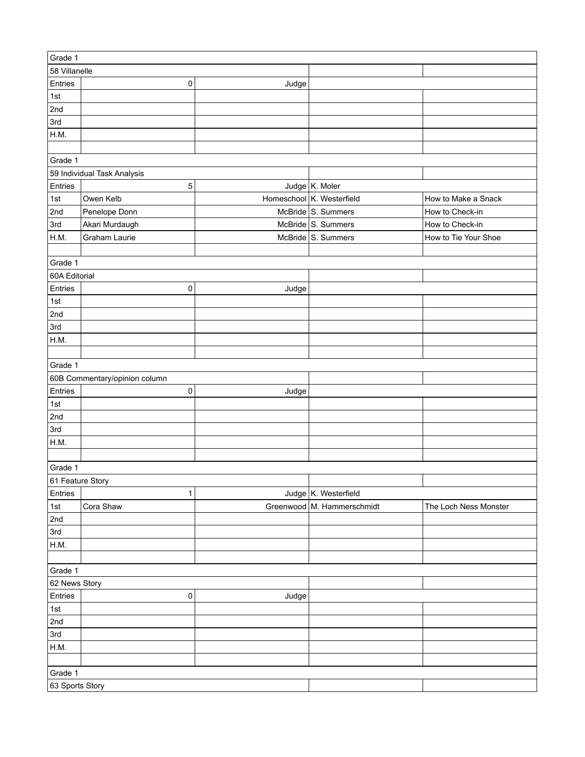| Grade 1          |                               |       |                            |                       |
|------------------|-------------------------------|-------|----------------------------|-----------------------|
| 58 Villanelle    |                               |       |                            |                       |
| Entries          | $\mathbf 0$                   | Judge |                            |                       |
| 1st              |                               |       |                            |                       |
| 2nd              |                               |       |                            |                       |
| 3rd              |                               |       |                            |                       |
| H.M.             |                               |       |                            |                       |
|                  |                               |       |                            |                       |
| Grade 1          |                               |       |                            |                       |
|                  | 59 Individual Task Analysis   |       |                            |                       |
| Entries          | 5                             |       | Judge $K$ . Moler          |                       |
| 1st              | Owen Kelb                     |       | Homeschool K. Westerfield  | How to Make a Snack   |
| 2nd              | Penelope Donn                 |       | McBride S. Summers         | How to Check-in       |
| 3rd              | Akari Murdaugh                |       | McBride S. Summers         | How to Check-in       |
| H.M.             | Graham Laurie                 |       | McBride S. Summers         | How to Tie Your Shoe  |
|                  |                               |       |                            |                       |
| Grade 1          |                               |       |                            |                       |
| 60A Editorial    |                               |       |                            |                       |
| Entries          | 0                             |       |                            |                       |
|                  |                               | Judge |                            |                       |
| $1st$            |                               |       |                            |                       |
| 2nd              |                               |       |                            |                       |
| 3rd              |                               |       |                            |                       |
| H.M.             |                               |       |                            |                       |
|                  |                               |       |                            |                       |
| Grade 1          |                               |       |                            |                       |
|                  | 60B Commentary/opinion column |       |                            |                       |
| Entries          | 0                             | Judge |                            |                       |
| 1st              |                               |       |                            |                       |
| 2nd              |                               |       |                            |                       |
| 3rd              |                               |       |                            |                       |
| H.M.             |                               |       |                            |                       |
|                  |                               |       |                            |                       |
| Grade 1          |                               |       |                            |                       |
| 61 Feature Story |                               |       |                            |                       |
| Entries          | 1                             |       | Judge K. Westerfield       |                       |
| 1st              | Cora Shaw                     |       | Greenwood M. Hammerschmidt | The Loch Ness Monster |
| 2nd              |                               |       |                            |                       |
| 3rd              |                               |       |                            |                       |
| H.M.             |                               |       |                            |                       |
|                  |                               |       |                            |                       |
| Grade 1          |                               |       |                            |                       |
| 62 News Story    |                               |       |                            |                       |
| Entries          | 0                             | Judge |                            |                       |
| $1st$            |                               |       |                            |                       |
| 2nd              |                               |       |                            |                       |
| 3rd              |                               |       |                            |                       |
| H.M.             |                               |       |                            |                       |
|                  |                               |       |                            |                       |
| Grade 1          |                               |       |                            |                       |
| 63 Sports Story  |                               |       |                            |                       |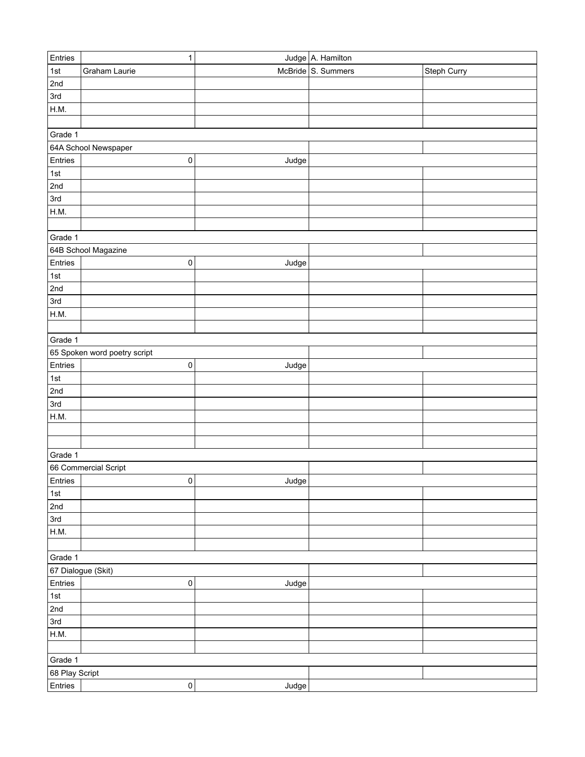| Entries<br>Judge A. Hamilton<br>McBride S. Summers<br>1st<br>Graham Laurie<br>Steph Curry<br>2nd<br>3rd<br>H.M.<br>Grade 1<br>64A School Newspaper<br>Entries<br>0<br>Judge<br> 1st <br>2nd<br>3rd<br>H.M.<br>Grade 1<br>64B School Magazine<br>Entries<br>$\pmb{0}$<br>Judge<br>1st<br>2nd<br>3rd<br>H.M.<br>Grade 1<br>65 Spoken word poetry script<br>Entries<br>$\mathsf 0$<br>Judge<br>1st<br>2nd<br>3rd<br>H.M.<br>Grade 1<br>66 Commercial Script<br>Entries<br> 0 <br>Judge<br>1st<br>2nd<br>3rd<br>H.M.<br>Grade 1 |
|-----------------------------------------------------------------------------------------------------------------------------------------------------------------------------------------------------------------------------------------------------------------------------------------------------------------------------------------------------------------------------------------------------------------------------------------------------------------------------------------------------------------------------|
|                                                                                                                                                                                                                                                                                                                                                                                                                                                                                                                             |
|                                                                                                                                                                                                                                                                                                                                                                                                                                                                                                                             |
|                                                                                                                                                                                                                                                                                                                                                                                                                                                                                                                             |
|                                                                                                                                                                                                                                                                                                                                                                                                                                                                                                                             |
|                                                                                                                                                                                                                                                                                                                                                                                                                                                                                                                             |
|                                                                                                                                                                                                                                                                                                                                                                                                                                                                                                                             |
|                                                                                                                                                                                                                                                                                                                                                                                                                                                                                                                             |
|                                                                                                                                                                                                                                                                                                                                                                                                                                                                                                                             |
|                                                                                                                                                                                                                                                                                                                                                                                                                                                                                                                             |
|                                                                                                                                                                                                                                                                                                                                                                                                                                                                                                                             |
|                                                                                                                                                                                                                                                                                                                                                                                                                                                                                                                             |
|                                                                                                                                                                                                                                                                                                                                                                                                                                                                                                                             |
|                                                                                                                                                                                                                                                                                                                                                                                                                                                                                                                             |
|                                                                                                                                                                                                                                                                                                                                                                                                                                                                                                                             |
|                                                                                                                                                                                                                                                                                                                                                                                                                                                                                                                             |
|                                                                                                                                                                                                                                                                                                                                                                                                                                                                                                                             |
|                                                                                                                                                                                                                                                                                                                                                                                                                                                                                                                             |
|                                                                                                                                                                                                                                                                                                                                                                                                                                                                                                                             |
|                                                                                                                                                                                                                                                                                                                                                                                                                                                                                                                             |
|                                                                                                                                                                                                                                                                                                                                                                                                                                                                                                                             |
|                                                                                                                                                                                                                                                                                                                                                                                                                                                                                                                             |
|                                                                                                                                                                                                                                                                                                                                                                                                                                                                                                                             |
|                                                                                                                                                                                                                                                                                                                                                                                                                                                                                                                             |
|                                                                                                                                                                                                                                                                                                                                                                                                                                                                                                                             |
|                                                                                                                                                                                                                                                                                                                                                                                                                                                                                                                             |
|                                                                                                                                                                                                                                                                                                                                                                                                                                                                                                                             |
|                                                                                                                                                                                                                                                                                                                                                                                                                                                                                                                             |
|                                                                                                                                                                                                                                                                                                                                                                                                                                                                                                                             |
|                                                                                                                                                                                                                                                                                                                                                                                                                                                                                                                             |
|                                                                                                                                                                                                                                                                                                                                                                                                                                                                                                                             |
|                                                                                                                                                                                                                                                                                                                                                                                                                                                                                                                             |
|                                                                                                                                                                                                                                                                                                                                                                                                                                                                                                                             |
|                                                                                                                                                                                                                                                                                                                                                                                                                                                                                                                             |
|                                                                                                                                                                                                                                                                                                                                                                                                                                                                                                                             |
|                                                                                                                                                                                                                                                                                                                                                                                                                                                                                                                             |
|                                                                                                                                                                                                                                                                                                                                                                                                                                                                                                                             |
|                                                                                                                                                                                                                                                                                                                                                                                                                                                                                                                             |
|                                                                                                                                                                                                                                                                                                                                                                                                                                                                                                                             |
|                                                                                                                                                                                                                                                                                                                                                                                                                                                                                                                             |
|                                                                                                                                                                                                                                                                                                                                                                                                                                                                                                                             |
| 67 Dialogue (Skit)                                                                                                                                                                                                                                                                                                                                                                                                                                                                                                          |
| Entries<br>0<br>Judge                                                                                                                                                                                                                                                                                                                                                                                                                                                                                                       |
| $\vert$ 1st                                                                                                                                                                                                                                                                                                                                                                                                                                                                                                                 |
| 2nd                                                                                                                                                                                                                                                                                                                                                                                                                                                                                                                         |
| 3rd                                                                                                                                                                                                                                                                                                                                                                                                                                                                                                                         |
| H.M.                                                                                                                                                                                                                                                                                                                                                                                                                                                                                                                        |
|                                                                                                                                                                                                                                                                                                                                                                                                                                                                                                                             |
| Grade 1                                                                                                                                                                                                                                                                                                                                                                                                                                                                                                                     |
| 68 Play Script                                                                                                                                                                                                                                                                                                                                                                                                                                                                                                              |
| Entries<br>$\pmb{0}$<br>Judge                                                                                                                                                                                                                                                                                                                                                                                                                                                                                               |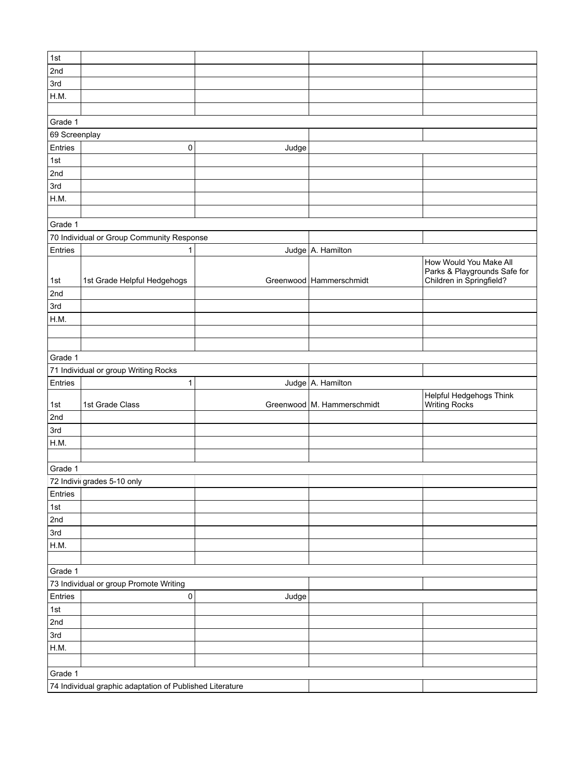| 1st           |                                                          |       |                              |                                                 |  |  |  |  |
|---------------|----------------------------------------------------------|-------|------------------------------|-------------------------------------------------|--|--|--|--|
| 2nd           |                                                          |       |                              |                                                 |  |  |  |  |
| 3rd           |                                                          |       |                              |                                                 |  |  |  |  |
| H.M.          |                                                          |       |                              |                                                 |  |  |  |  |
|               |                                                          |       |                              |                                                 |  |  |  |  |
| Grade 1       |                                                          |       |                              |                                                 |  |  |  |  |
| 69 Screenplay |                                                          |       |                              |                                                 |  |  |  |  |
| Entries       | 0                                                        | Judge |                              |                                                 |  |  |  |  |
| 1st           |                                                          |       |                              |                                                 |  |  |  |  |
| 2nd           |                                                          |       |                              |                                                 |  |  |  |  |
| 3rd           |                                                          |       |                              |                                                 |  |  |  |  |
| H.M.          |                                                          |       |                              |                                                 |  |  |  |  |
|               |                                                          |       |                              |                                                 |  |  |  |  |
| Grade 1       |                                                          |       |                              |                                                 |  |  |  |  |
|               | 70 Individual or Group Community Response                |       |                              |                                                 |  |  |  |  |
| Entries       | 1                                                        |       | Judge A. Hamilton            |                                                 |  |  |  |  |
|               |                                                          |       |                              | How Would You Make All                          |  |  |  |  |
|               |                                                          |       |                              | Parks & Playgrounds Safe for                    |  |  |  |  |
| 1st           | 1st Grade Helpful Hedgehogs                              |       | Greenwood   Hammerschmidt    | Children in Springfield?                        |  |  |  |  |
| 2nd           |                                                          |       |                              |                                                 |  |  |  |  |
| 3rd           |                                                          |       |                              |                                                 |  |  |  |  |
| H.M.          |                                                          |       |                              |                                                 |  |  |  |  |
|               |                                                          |       |                              |                                                 |  |  |  |  |
|               |                                                          |       |                              |                                                 |  |  |  |  |
| Grade 1       |                                                          |       |                              |                                                 |  |  |  |  |
|               |                                                          |       |                              |                                                 |  |  |  |  |
|               | 71 Individual or group Writing Rocks                     |       |                              |                                                 |  |  |  |  |
| Entries       | $\mathbf{1}$                                             |       | Judge A. Hamilton            |                                                 |  |  |  |  |
| 1st           | 1st Grade Class                                          |       | Greenwood   M. Hammerschmidt | Helpful Hedgehogs Think<br><b>Writing Rocks</b> |  |  |  |  |
| 2nd           |                                                          |       |                              |                                                 |  |  |  |  |
| 3rd           |                                                          |       |                              |                                                 |  |  |  |  |
| H.M.          |                                                          |       |                              |                                                 |  |  |  |  |
|               |                                                          |       |                              |                                                 |  |  |  |  |
| Grade 1       |                                                          |       |                              |                                                 |  |  |  |  |
|               | 72 Indivi grades 5-10 only                               |       |                              |                                                 |  |  |  |  |
| Entries       |                                                          |       |                              |                                                 |  |  |  |  |
| 1st           |                                                          |       |                              |                                                 |  |  |  |  |
| 2nd           |                                                          |       |                              |                                                 |  |  |  |  |
| 3rd           |                                                          |       |                              |                                                 |  |  |  |  |
| H.M.          |                                                          |       |                              |                                                 |  |  |  |  |
|               |                                                          |       |                              |                                                 |  |  |  |  |
| Grade 1       |                                                          |       |                              |                                                 |  |  |  |  |
|               | 73 Individual or group Promote Writing                   |       |                              |                                                 |  |  |  |  |
| Entries       | $\mathsf{O}\xspace$                                      | Judge |                              |                                                 |  |  |  |  |
| 1st           |                                                          |       |                              |                                                 |  |  |  |  |
| 2nd           |                                                          |       |                              |                                                 |  |  |  |  |
| 3rd           |                                                          |       |                              |                                                 |  |  |  |  |
| H.M.          |                                                          |       |                              |                                                 |  |  |  |  |
|               |                                                          |       |                              |                                                 |  |  |  |  |
| Grade 1       | 74 Individual graphic adaptation of Published Literature |       |                              |                                                 |  |  |  |  |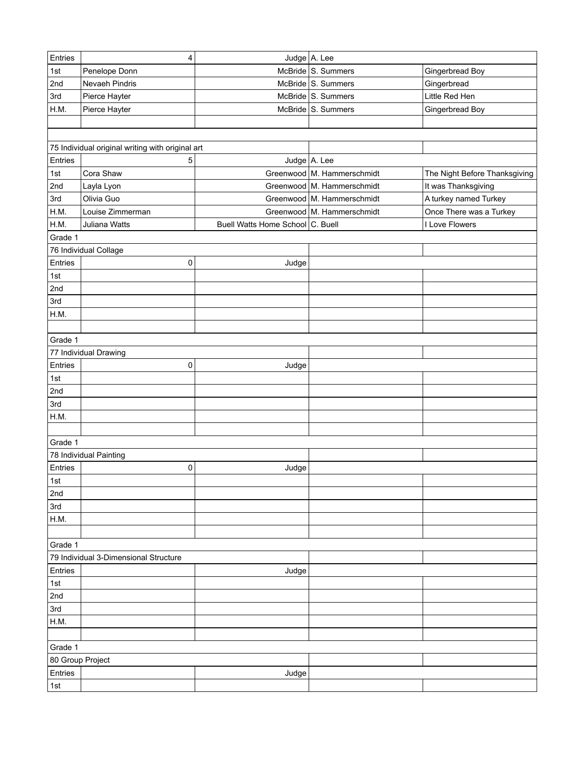| Entries                                          | 4                                                |                                  | Judge A. Lee                 |                               |  |  |  |
|--------------------------------------------------|--------------------------------------------------|----------------------------------|------------------------------|-------------------------------|--|--|--|
| 1st                                              | Penelope Donn                                    |                                  | McBride S. Summers           | Gingerbread Boy               |  |  |  |
| 2nd                                              | Nevaeh Pindris                                   |                                  | McBride S. Summers           | Gingerbread                   |  |  |  |
| 3rd                                              | Pierce Hayter                                    |                                  | McBride S. Summers           | Little Red Hen                |  |  |  |
| H.M.                                             | Pierce Hayter                                    |                                  | McBride S. Summers           | Gingerbread Boy               |  |  |  |
|                                                  |                                                  |                                  |                              |                               |  |  |  |
|                                                  |                                                  |                                  |                              |                               |  |  |  |
|                                                  | 75 Individual original writing with original art |                                  |                              |                               |  |  |  |
| Entries                                          | 5                                                |                                  | Judge A. Lee                 |                               |  |  |  |
| 1st                                              | Cora Shaw                                        |                                  | Greenwood M. Hammerschmidt   | The Night Before Thanksgiving |  |  |  |
| 2 <sub>nd</sub>                                  | Layla Lyon                                       |                                  | Greenwood M. Hammerschmidt   | It was Thanksgiving           |  |  |  |
| 3rd                                              | Olivia Guo                                       |                                  | Greenwood   M. Hammerschmidt | A turkey named Turkey         |  |  |  |
| H.M.                                             | Louise Zimmerman                                 |                                  | Greenwood   M. Hammerschmidt | Once There was a Turkey       |  |  |  |
| H.M.                                             | Juliana Watts                                    | Buell Watts Home School C. Buell |                              | I Love Flowers                |  |  |  |
| Grade 1                                          |                                                  |                                  |                              |                               |  |  |  |
|                                                  | 76 Individual Collage                            |                                  |                              |                               |  |  |  |
| Entries                                          | 0                                                | Judge                            |                              |                               |  |  |  |
| $1st$                                            |                                                  |                                  |                              |                               |  |  |  |
| 2nd                                              |                                                  |                                  |                              |                               |  |  |  |
| 3rd                                              |                                                  |                                  |                              |                               |  |  |  |
| H.M.                                             |                                                  |                                  |                              |                               |  |  |  |
|                                                  |                                                  |                                  |                              |                               |  |  |  |
| Grade 1                                          |                                                  |                                  |                              |                               |  |  |  |
|                                                  | 77 Individual Drawing                            |                                  |                              |                               |  |  |  |
| Entries                                          | 0                                                | Judge                            |                              |                               |  |  |  |
| 1st                                              |                                                  |                                  |                              |                               |  |  |  |
| 2nd                                              |                                                  |                                  |                              |                               |  |  |  |
| 3rd                                              |                                                  |                                  |                              |                               |  |  |  |
| H.M.                                             |                                                  |                                  |                              |                               |  |  |  |
|                                                  |                                                  |                                  |                              |                               |  |  |  |
| Grade 1                                          |                                                  |                                  |                              |                               |  |  |  |
|                                                  | 78 Individual Painting                           |                                  |                              |                               |  |  |  |
| Entries                                          | 0                                                | Judge                            |                              |                               |  |  |  |
| 1st                                              |                                                  |                                  |                              |                               |  |  |  |
| 2nd                                              |                                                  |                                  |                              |                               |  |  |  |
| 3rd                                              |                                                  |                                  |                              |                               |  |  |  |
| H.M.                                             |                                                  |                                  |                              |                               |  |  |  |
|                                                  |                                                  |                                  |                              |                               |  |  |  |
|                                                  |                                                  |                                  |                              |                               |  |  |  |
| Grade 1<br>79 Individual 3-Dimensional Structure |                                                  |                                  |                              |                               |  |  |  |
|                                                  |                                                  |                                  |                              |                               |  |  |  |
| Entries                                          |                                                  | Judge                            |                              |                               |  |  |  |
| 1st                                              |                                                  |                                  |                              |                               |  |  |  |
| 2nd                                              |                                                  |                                  |                              |                               |  |  |  |
| 3rd                                              |                                                  |                                  |                              |                               |  |  |  |
| H.M.                                             |                                                  |                                  |                              |                               |  |  |  |
|                                                  |                                                  |                                  |                              |                               |  |  |  |
| Grade 1                                          |                                                  |                                  |                              |                               |  |  |  |
| 80 Group Project                                 |                                                  |                                  |                              |                               |  |  |  |
| Entries                                          |                                                  | Judge                            |                              |                               |  |  |  |
| 1st                                              |                                                  |                                  |                              |                               |  |  |  |